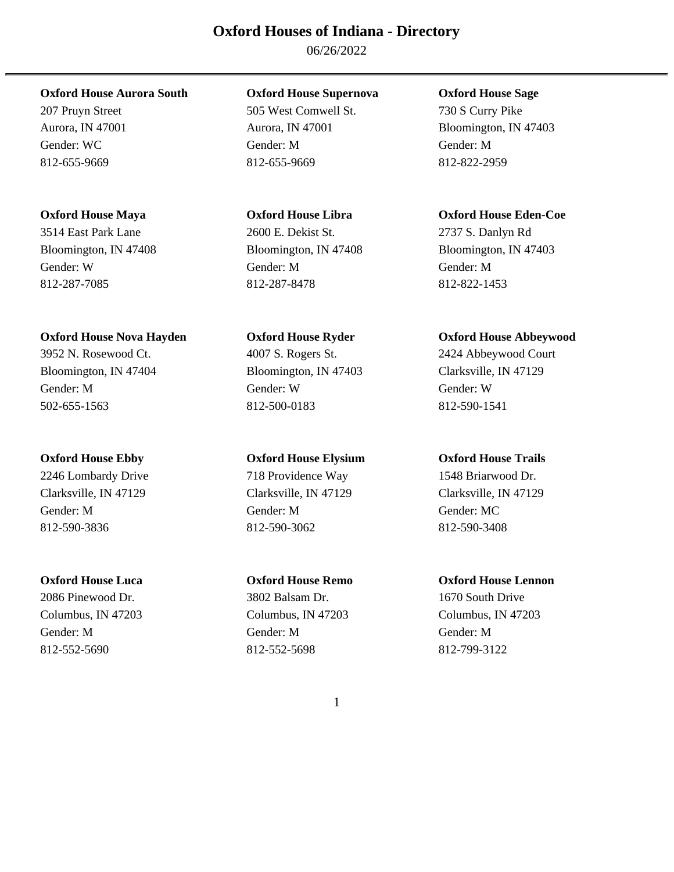06/26/2022

# **Oxford House Aurora South Oxford House Supernova Oxford House Sage**

Gender: W Gender: M Gender: M 812-287-7085 812-287-8478 812-822-1453

# **Oxford House Nova Hayden Oxford House Ryder Oxford House Abbeywood**

3952 N. Rosewood Ct. 4007 S. Rogers St. 2424 Abbeywood Court Bloomington, IN 47404 Bloomington, IN 47403 Clarksville, IN 47129 Gender: M Gender: W Gender: W 502-655-1563 812-500-0183 812-590-1541

2246 Lombardy Drive 718 Providence Way 1548 Briarwood Dr. Clarksville, IN 47129 Clarksville, IN 47129 Clarksville, IN 47129 Gender: M Gender: M Gender: MC 812-590-3836 812-590-3062 812-590-3408

Columbus, IN 47203 Columbus, IN 47203 Columbus, IN 47203 Gender: M Gender: M Gender: M 812-552-5690 812-552-5698 812-799-3122

207 Pruyn Street 505 West Comwell St. 730 S Curry Pike Aurora, IN 47001 Aurora, IN 47001 Bloomington, IN 47403 Gender: WC Gender: M Gender: M 812-655-9669 812-655-9669 812-822-2959

# 3514 East Park Lane 2600 E. Dekist St. 2737 S. Danlyn Rd

# **Oxford House Ebby Oxford House Elysium Oxford House Trails**

# 2086 Pinewood Dr. 3802 Balsam Dr. 1670 South Drive

# **Oxford House Maya Oxford House Libra Oxford House Eden-Coe**

Bloomington, IN 47408 Bloomington, IN 47408 Bloomington, IN 47403

# **Oxford House Luca Oxford House Remo Oxford House Lennon**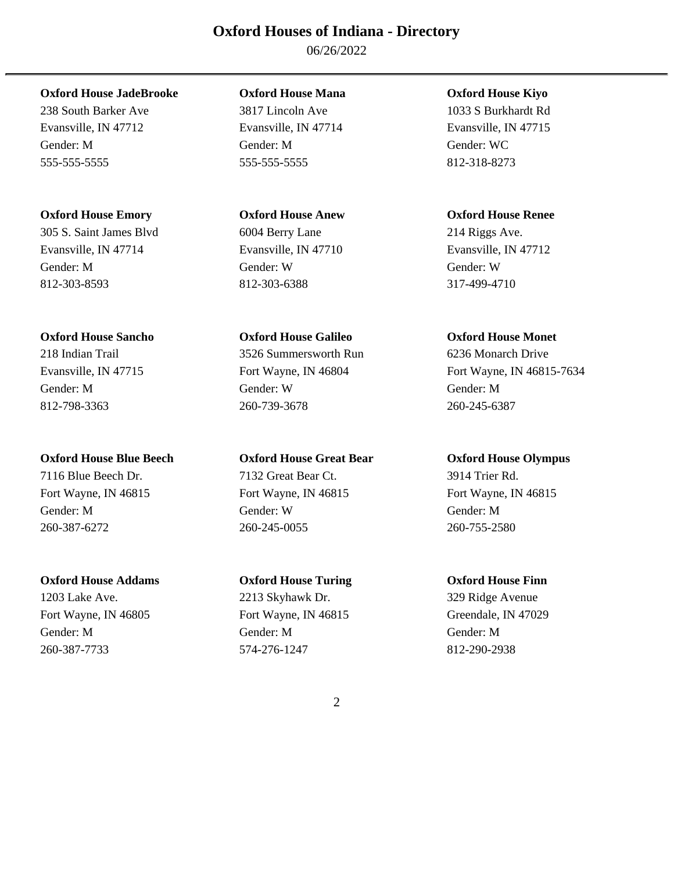06/26/2022

**Oxford House JadeBrooke Oxford House Mana Oxford House Kiyo** 

Evansville, IN 47712 Evansville, IN 47714 Evansville, IN 47715 Gender: M Gender: M Gender: WC 555-555-5555 555-555-5555 812-318-8273

**Oxford House Emory Oxford House Anew Oxford House Renee** 

Evansville, IN 47714 Evansville, IN 47710 Evansville, IN 47712 Gender: M Gender: W Gender: W 812-303-8593 812-303-6388 317-499-4710

**Oxford House Sancho Oxford House Galileo Oxford House Monet** 

7116 Blue Beech Dr. 7132 Great Bear Ct. 3914 Trier Rd.

1203 Lake Ave. 2213 Skyhawk Dr. 329 Ridge Avenue Fort Wayne, IN 46805 Fort Wayne, IN 46815 Greendale, IN 47029 Gender: M Gender: M Gender: M

238 South Barker Ave 3817 Lincoln Ave 1033 S Burkhardt Rd

305 S. Saint James Blvd 6004 Berry Lane 214 Riggs Ave.

218 Indian Trail 3526 Summersworth Run 6236 Monarch Drive Gender: M Gender: W Gender: M 812-798-3363 260-739-3678 260-245-6387

**Oxford House Blue Beech Oxford House Great Bear Oxford House Olympus**  Fort Wayne, IN 46815 Fort Wayne, IN 46815 Fort Wayne, IN 46815 Gender: M Gender: W Gender: M 260-387-6272 260-245-0055 260-755-2580

**Oxford House Addams Oxford House Turing Oxford House Finn**  260-387-7733 574-276-1247 812-290-2938

Evansville, IN 47715 Fort Wayne, IN 46804 Fort Wayne, IN 46815-7634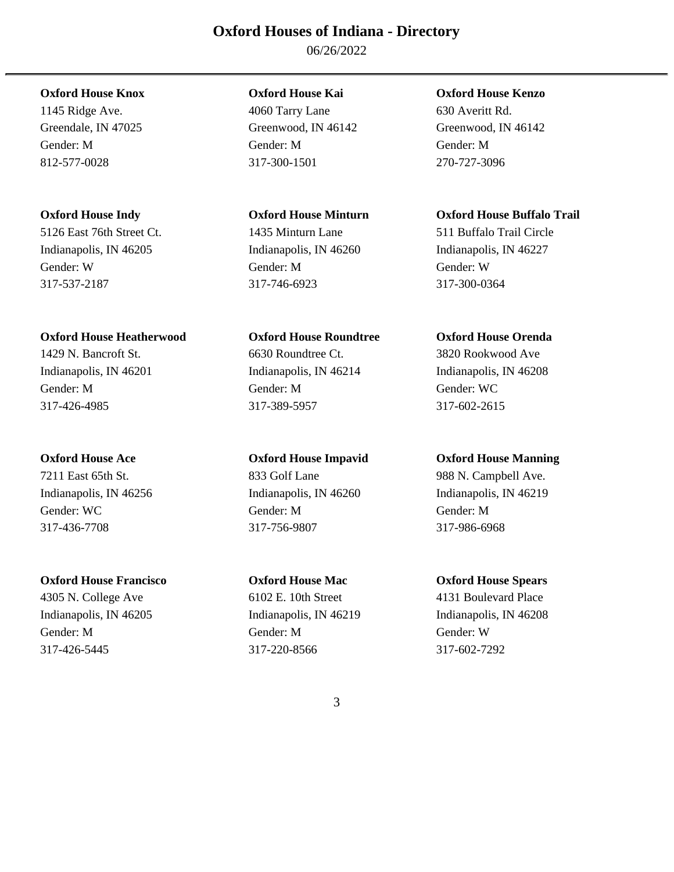06/26/2022

Indianapolis, IN 46205 Indianapolis, IN 46260 Indianapolis, IN 46227 Gender: W Gender: M Gender: W 317-537-2187 317-746-6923 317-300-0364

# **Oxford House Heatherwood Oxford House Roundtree Oxford House Orenda**

317-426-4985 317-389-5957 317-602-2615

# **Oxford House Francisco Oxford House Mac Oxford House Spears**

1145 Ridge Ave. 4060 Tarry Lane 630 Averitt Rd. Greendale, IN 47025 Greenwood, IN 46142 Greenwood, IN 46142 Gender: M Gender: M Gender: M 812-577-0028 317-300-1501 270-727-3096

# 5126 East 76th Street Ct. 1435 Minturn Lane 511 Buffalo Trail Circle

1429 N. Bancroft St. 6630 Roundtree Ct. 3820 Rookwood Ave Indianapolis, IN 46201 Indianapolis, IN 46214 Indianapolis, IN 46208 Gender: M Gender: M Gender: WC

Gender: WC Gender: M Gender: M Gender: M Gender: M 317-436-7708 317-756-9807 317-986-6968

4305 N. College Ave 6102 E. 10th Street 4131 Boulevard Place Indianapolis, IN 46205 Indianapolis, IN 46219 Indianapolis, IN 46208 Gender: M Gender: M Gender: W 317-426-5445 317-220-8566 317-602-7292

# **Oxford House Knox Oxford House Kai Oxford House Kenzo**

# **Oxford House Indy Oxford House Minturn Oxford House Buffalo Trail**

# **Oxford House Ace Oxford House Impavid Oxford House Manning**

7211 East 65th St. 833 Golf Lane 988 N. Campbell Ave. Indianapolis, IN 46256 Indianapolis, IN 46260 Indianapolis, IN 46219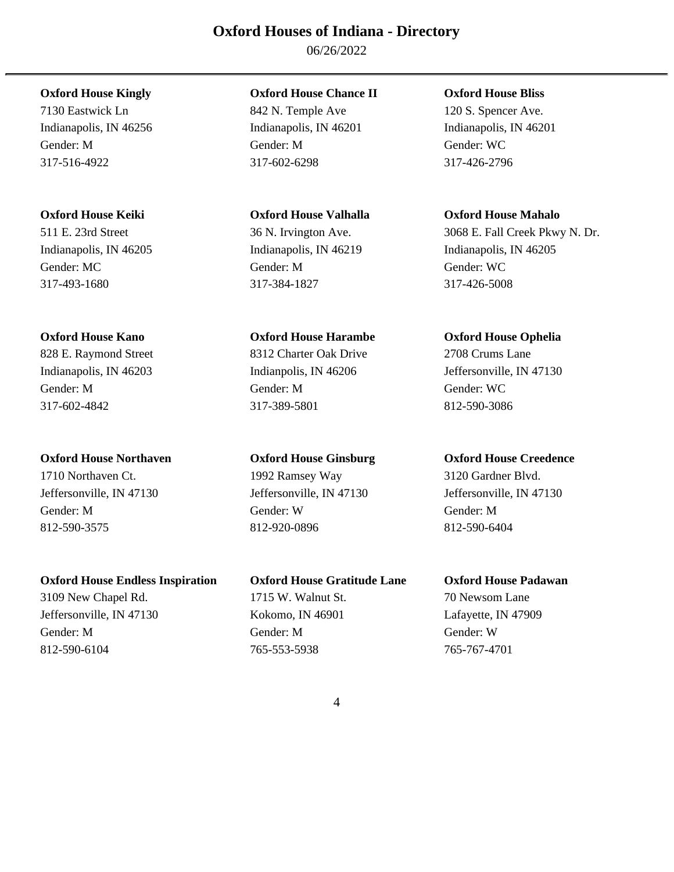06/26/2022

7130 Eastwick Ln 842 N. Temple Ave 120 S. Spencer Ave.

Gender: MC Gender: M Gender: M Gender: WC Gender: WC Gender: WC Gender: WC Gender: WC Gender: WC Gender: WC Gender: WC Gender: WC Gender: WC Gender: WC Gender: WC Gender: WC Gender: WC Gender: WC Gender: WC Gender: WC Gend 317-493-1680 317-384-1827 317-426-5008

828 E. Raymond Street 8312 Charter Oak Drive 2708 Crums Lane Gender: M Gender: M Gender: WC 317-602-4842 317-389-5801 812-590-3086

# **Oxford House Northaven Oxford House Ginsburg Oxford House Creedence**

1710 Northaven Ct. 1992 Ramsey Way 3120 Gardner Blvd. Jeffersonville, IN 47130 Jeffersonville, IN 47130 Jeffersonville, IN 47130 Gender: M Gender: W Gender: M 812-590-3575 812-920-0896 812-590-6404

# **Oxford House Endless Inspiration Oxford House Gratitude Lane Oxford House Padawan**

3109 New Chapel Rd. 1715 W. Walnut St. 70 Newsom Lane Jeffersonville, IN 47130 Kokomo, IN 46901 Lafayette, IN 47909 Gender: M Gender: M Gender: W 812-590-6104 765-553-5938 765-767-4701

# **Oxford House Kingly Oxford House Chance II Oxford House Bliss**

Indianapolis, IN 46256 Indianapolis, IN 46201 Indianapolis, IN 46201 Gender: M Gender: M Gender: WC 317-516-4922 317-602-6298 317-426-2796

# **Oxford House Kano Oxford House Harambe Oxford House Ophelia**

# **Oxford House Keiki Oxford House Valhalla Oxford House Mahalo**

511 E. 23rd Street 36 N. Irvington Ave. 3068 E. Fall Creek Pkwy N. Dr. Indianapolis, IN 46205 Indianapolis, IN 46219 Indianapolis, IN 46205

Indianapolis, IN 46203 Indianpolis, IN 46206 Jeffersonville, IN 47130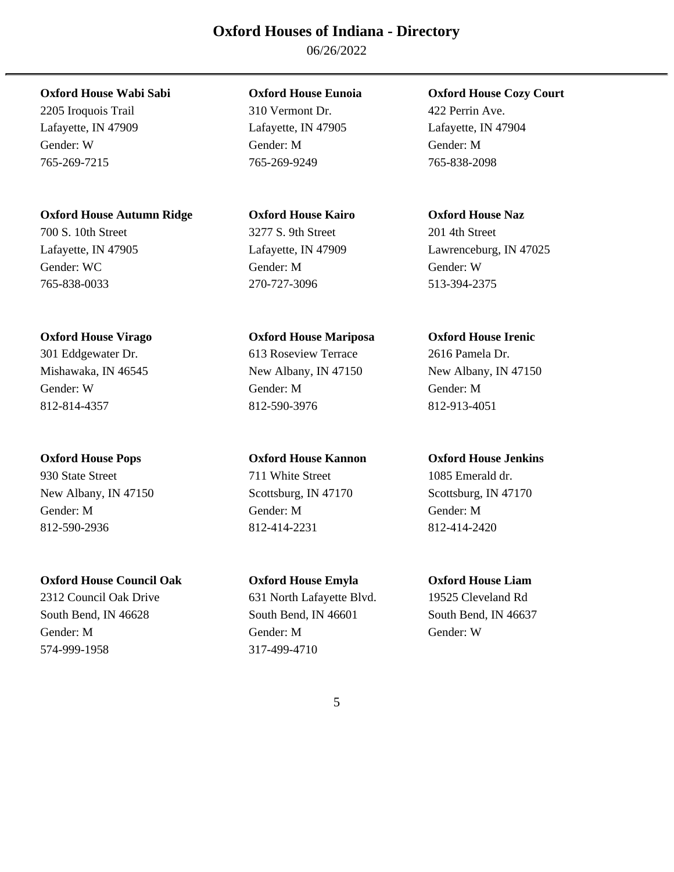06/26/2022

# **Oxford House Wabi Sabi Oxford House Eunoia Oxford House Cozy Court**

Lafayette, IN 47909 Lafayette, IN 47905 Lafayette, IN 47904 Gender: W Gender: M Gender: M 765-269-7215 765-269-9249 765-838-2098

# **Oxford House Autumn Ridge Oxford House Kairo Oxford House Naz**

700 S. 10th Street 3277 S. 9th Street 201 4th Street Gender: WC Gender: M Gender: W Gender: W Gender: W Gender: W Gender: W Gender: W Gender: W Gender: W Gender: W 765-838-0033 270-727-3096 513-394-2375

# **Oxford House Virago Oxford House Mariposa Oxford House Irenic**

812-814-4357 812-590-3976 812-913-4051

930 State Street 711 White Street 1085 Emerald dr. New Albany, IN 47150 Scottsburg, IN 47170 Scottsburg, IN 47170 Gender: M Gender: M Gender: M 812-590-2936 812-414-2231 812-414-2420

# **Oxford House Council Oak Oxford House Emyla Oxford House Liam**

2312 Council Oak Drive 631 North Lafayette Blvd. 19525 Cleveland Rd South Bend, IN 46628 South Bend, IN 46601 South Bend, IN 46637 Gender: M Gender: M Gender: W 574-999-1958 317-499-4710

2205 Iroquois Trail 310 Vermont Dr. 422 Perrin Ave.

301 Eddgewater Dr. 613 Roseview Terrace 2616 Pamela Dr. Mishawaka, IN 46545 New Albany, IN 47150 New Albany, IN 47150 Gender: W Gender: M Gender: M

# **Oxford House Pops Oxford House Kannon Oxford House Jenkins**

Lafayette, IN 47905 Lafayette, IN 47909 Lawrenceburg, IN 47025